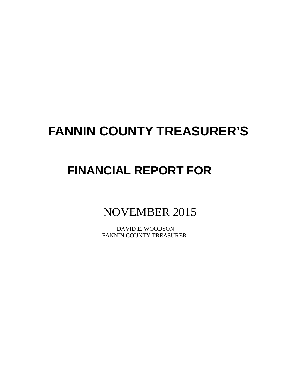# **FANNIN COUNTY TREASURER'S**

## **FINANCIAL REPORT FOR**

### NOVEMBER 2015

 DAVID E. WOODSON FANNIN COUNTY TREASURER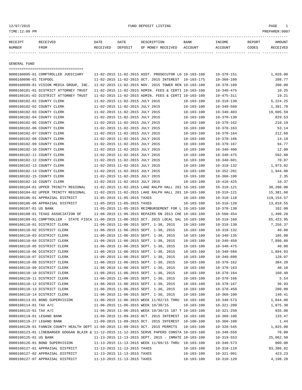#### 12/07/2015 FUND DEPOSIT LISTING PAGE 1

| RECEIPT | <b>RECEIVED</b> | DATE            | DATE    | DESCRIPTION       | <b>BANK</b> | INCOME  | REPORT | AMOUNT          |
|---------|-----------------|-----------------|---------|-------------------|-------------|---------|--------|-----------------|
| NUMBER  | FROM            | <b>RECEIVED</b> | DEPOSIT | OF MONEY RECEIVED | ACCOUNT     | ACCOUNT | CODES  | <b>RECEIVED</b> |
|         |                 |                 |         |                   |             |         |        |                 |

GENERAL FUND

|                            | ====================================                                                         |                                 |                                 |                                                                                  |                  |                  |                   |
|----------------------------|----------------------------------------------------------------------------------------------|---------------------------------|---------------------------------|----------------------------------------------------------------------------------|------------------|------------------|-------------------|
|                            | 0000160095-01 COMPTROLLER JUDICIARY                                                          |                                 |                                 | 11-02-2015 11-02-2015 ASST. PROSECUTOR LO 10-103-100                             |                  | $10 - 370 - 151$ | 1,020.00          |
| 0000160096-01 TEXPOOL      |                                                                                              |                                 |                                 | 11-02-2015 11-02-2015 OCT. 2015 INTEREST 10-103-175                              |                  | $10 - 360 - 100$ | 288.77            |
|                            | 0000160099-01 VISION MEDIA GROUP, INC.                                                       |                                 |                                 | 11-02-2015 11-02-2015 NOV. 2015 TOWER REN 10-103-100                             |                  | $10 - 370 - 100$ | 200.00            |
|                            | 0000160101-01 DISTRICT ATTORNEY TRUST                                                        |                                 |                                 | 11-02-2015 11-02-2015 ADMIN. FEES & CERTI 10-103-100                             |                  | $10 - 340 - 475$ | 10.25             |
|                            | 0000160101-02 DISTRICT ATTORNEY TRUST                                                        |                                 |                                 | 11-02-2015 11-02-2015 ADMIN. FEES & CERTI 10-103-100                             |                  | $10 - 475 - 311$ | 19.21             |
| 0000160102-01 COUNTY CLERK |                                                                                              |                                 | 11-02-2015 11-02-2015 JULY 2015 |                                                                                  | 10-103-100       | $10 - 318 - 130$ | 5,224.25          |
| 0000160102-02 COUNTY CLERK |                                                                                              |                                 | 11-02-2015 11-02-2015 JULY 2015 |                                                                                  | $10 - 103 - 100$ | $10 - 340 - 560$ | 1,391.70          |
| 0000160102-03 COUNTY CLERK |                                                                                              |                                 | 11-02-2015 11-02-2015 JULY 2015 |                                                                                  | $10 - 103 - 100$ | $10 - 340 - 403$ | 19,605.59         |
| 0000160102-04 COUNTY CLERK |                                                                                              |                                 | 11-02-2015 11-02-2015 JULY 2015 |                                                                                  | $10 - 103 - 100$ | $10 - 370 - 130$ | 829.53            |
| 0000160102-05 COUNTY CLERK |                                                                                              |                                 | 11-02-2015 11-02-2015 JULY 2015 |                                                                                  | $10 - 103 - 100$ | $10 - 370 - 162$ | 210.19            |
| 0000160102-06 COUNTY CLERK |                                                                                              |                                 | 11-02-2015 11-02-2015 JULY 2015 |                                                                                  | $10 - 103 - 100$ | $10 - 370 - 163$ | 53.14             |
| 0000160102-07 COUNTY CLERK |                                                                                              |                                 | 11-02-2015 11-02-2015 JULY 2015 |                                                                                  | $10 - 103 - 100$ | $10 - 370 - 164$ | 212.60            |
| 0000160102-08 COUNTY CLERK |                                                                                              |                                 | 11-02-2015 11-02-2015 JULY 2015 |                                                                                  | $10 - 103 - 100$ | $10 - 370 - 166$ | 14.19             |
| 0000160102-09 COUNTY CLERK |                                                                                              |                                 | 11-02-2015 11-02-2015 JULY 2015 |                                                                                  | $10 - 103 - 100$ | $10 - 370 - 167$ | 94.77             |
| 0000160102-10 COUNTY CLERK |                                                                                              |                                 | 11-02-2015 11-02-2015 JULY 2015 |                                                                                  | $10 - 103 - 100$ | $10 - 340 - 400$ | 12.00             |
| 0000160102-11 COUNTY CLERK |                                                                                              |                                 | 11-02-2015 11-02-2015 JULY 2015 |                                                                                  | $10 - 103 - 100$ | $10 - 340 - 475$ | 592.88            |
| 0000160102-12 COUNTY CLERK |                                                                                              |                                 | 11-02-2015 11-02-2015 JULY 2015 |                                                                                  | $10 - 103 - 100$ | $10 - 340 - 601$ | 70.07             |
| 0000160102-13 COUNTY CLERK |                                                                                              |                                 | 11-02-2015 11-02-2015 JULY 2015 |                                                                                  | $10 - 103 - 100$ | $10 - 318 - 132$ | 1,973.02          |
| 0000160102-14 COUNTY CLERK |                                                                                              |                                 | 11-02-2015 11-02-2015 JULY 2015 |                                                                                  | $10 - 103 - 100$ | $10 - 352 - 201$ | 1,944.00          |
| 0000160102-15 COUNTY CLERK |                                                                                              |                                 | 11-02-2015 11-02-2015 JULY 2015 |                                                                                  | $10 - 103 - 100$ | $10 - 360 - 100$ | 2.35              |
| 0000160102-16 COUNTY CLERK |                                                                                              | 11-02-2015 11-02-2015 JULY 2015 |                                 |                                                                                  | $10 - 103 - 100$ | $10 - 410 - 425$ | 10.37             |
|                            | 0000160104-01 UPPER TRINITY REGIONAL                                                         |                                 |                                 | 11-02-2015 11-02-2015 LAKE RALPH HALL 201 10-103-100                             |                  | $10 - 318 - 121$ | 38,280.00         |
|                            | 0000160104-02 UPPER TRINITY REGIONAL                                                         |                                 |                                 | 11-02-2015 11-02-2015 LAKE RALPH HALL 201 10-103-100                             |                  | $10 - 318 - 121$ | 15,381.60         |
|                            | 0000160106-01 APPRAISAL DISTRICT                                                             |                                 | 11-05-2015 11-05-2015 TAXES     |                                                                                  | $10 - 103 - 100$ | $10 - 310 - 110$ | 119, 154.57       |
|                            | 0000160106-06 APPRAISAL DISTRICT                                                             |                                 | 11-05-2015 11-05-2015 TAXES     |                                                                                  | $10 - 103 - 100$ | $10 - 310 - 120$ | 13,018.55         |
| 0000160107-01 US BANK      |                                                                                              |                                 |                                 | 11-05-2015 11-05-2015 REIMBURSEMENT FOR L 10-103-100                             |                  | $10 - 370 - 130$ | 162.00            |
|                            | 0000160108-01 TEXAS ASSOCIATION OF                                                           |                                 |                                 | 11-06-2015 11-06-2015 REPAIRS ON 2013 CHE 10-103-100                             |                  | $10 - 560 - 454$ | 1,490.28          |
|                            | 0000160109-01 COMPTROLLER - STATE FISCA 11-06-2015 11-06-2015 OCT. 2015 LOCAL SAL 10-103-100 |                                 |                                 |                                                                                  |                  | $10 - 318 - 160$ | 65,423.95         |
|                            | 0000160110-01 DISTRICT CLERK                                                                 |                                 |                                 |                                                                                  |                  |                  |                   |
|                            |                                                                                              |                                 |                                 | 11-06-2015 11-06-2015 SEPT. 1-30, 2015<br>11-06-2015 11-06-2015 SEPT. 1-30, 2015 | 10-103-100       | $10 - 318 - 130$ | 7,256.37<br>40.88 |
|                            | 0000160110-02 DISTRICT CLERK                                                                 |                                 |                                 |                                                                                  | $10 - 103 - 100$ | $10 - 318 - 132$ |                   |
|                            | 0000160110-03 DISTRICT CLERK                                                                 |                                 |                                 | 11-06-2015 11-06-2015 SEPT. 1-30, 2015                                           | $10 - 103 - 100$ | $10 - 340 - 135$ | 105.00            |
|                            | 0000160110-04 DISTRICT CLERK                                                                 |                                 |                                 | 11-06-2015 11-06-2015 SEPT. 1-30, 2015                                           | $10 - 103 - 100$ | $10 - 340 - 450$ | 7,890.88          |
|                            | 0000160110-05 DISTRICT CLERK                                                                 |                                 |                                 | 11-06-2015 11-06-2015 SEPT. 1-30, 2015                                           | $10 - 103 - 100$ | $10 - 340 - 475$ | 40.00             |
|                            | 0000160110-06 DISTRICT CLERK                                                                 |                                 |                                 | 11-06-2015 11-06-2015 SEPT. 1-30, 2015                                           | $10 - 103 - 100$ | $10 - 340 - 560$ | 1,894.03          |
|                            | 0000160110-07 DISTRICT CLERK                                                                 |                                 |                                 | 11-06-2015 11-06-2015 SEPT. 1-30, 2015                                           | $10 - 103 - 100$ | $10 - 340 - 600$ | 128.07            |
|                            | 0000160110-08 DISTRICT CLERK                                                                 |                                 |                                 | 11-06-2015 11-06-2015 SEPT. 1-30, 2015                                           | $10 - 103 - 100$ | $10 - 370 - 162$ | 384.20            |
|                            | 0000160110-09 DISTRICT CLERK                                                                 |                                 |                                 | 11-06-2015 11-06-2015 SEPT. 1-30, 2015                                           | $10 - 103 - 100$ | $10 - 370 - 163$ | 40.10             |
|                            | 0000160110-10 DISTRICT CLERK                                                                 |                                 |                                 | 11-06-2015 11-06-2015 SEPT. 1-30, 2015                                           | $10 - 103 - 100$ | $10 - 370 - 164$ | 160.40            |
|                            | 0000160110-11 DISTRICT CLERK                                                                 |                                 |                                 | 11-06-2015 11-06-2015 SEPT. 1-30, 2015                                           | $10 - 103 - 100$ | $10 - 370 - 166$ | 5.54              |
|                            | 0000160110-12 DISTRICT CLERK                                                                 |                                 |                                 | 11-06-2015 11-06-2015 SEPT. 1-30, 2015                                           | $10 - 103 - 100$ | $10 - 370 - 167$ | 36.93             |
|                            | 0000160110-13 DISTRICT CLERK                                                                 |                                 |                                 | 11-06-2015 11-06-2015 SEPT. 1-30, 2015                                           | $10 - 103 - 100$ | $10 - 370 - 450$ | 280.00            |
|                            | 0000160110-14 DISTRICT CLERK                                                                 |                                 |                                 | 11-06-2015 11-06-2015 SEPT. 1-30, 2015                                           | $10 - 103 - 100$ | $10 - 360 - 100$ | 140.41            |
|                            | 0000160113-01 BOND SUPERVISION                                                               |                                 |                                 | 11-06-2015 11-06-2015 WEEK 11/02/15 THRU 10-103-100                              |                  | $10 - 340 - 573$ | 1,044.00          |
| 0000160114-01 TAX A/C      |                                                                                              |                                 |                                 | 11-06-2015 11-06-2015 WEEK 10/30/15                                              | $10 - 103 - 100$ | $10 - 321 - 200$ | 1,875.30          |
| 0000160115-01 TAX A/C      |                                                                                              |                                 |                                 | 11-06-2015 11-06-2015 WEEK 10/30/15 187 T 10-103-100                             |                  | $10 - 321 - 250$ | 935.00            |
| 0000160119-01 LEGAND BANK  |                                                                                              |                                 |                                 | 11-09-2015 11-09-2015 OCT. 2015 INTEREST 10-103-100                              |                  | $10 - 360 - 100$ | 133.47            |
| 0000160119-27 LEGAND BANK  |                                                                                              |                                 |                                 | 11-09-2015 11-09-2015 OCT. 2015 INTEREST 10-100-100                              |                  | $10 - 360 - 100$ | 1.44              |
|                            | 0000160120-01 FANNIN COUNTY HEALTH DEPT 11-09-2015 11-09-2015 OCT. 2015 PERMITS              |                                 |                                 |                                                                                  | $10 - 103 - 100$ | $10 - 320 - 545$ | 1,825.00          |
|                            | 0000160123-01 LINEBARGER GOGGAN BLAIR & 11-12-2015 11-12-2015 SERVE PAPERS CONSTA 10-103-100 |                                 |                                 |                                                                                  |                  | $10 - 340 - 550$ | 70.00             |
| 0000160125-01 US BANK      |                                                                                              |                                 |                                 | 11-13-2015 11-13-2015 SEPT. 2015 - INMATE 10-103-100                             |                  | $10 - 319 - 553$ | 25,062.50         |
|                            | 0000160126-01 BOND SUPERVISION                                                               |                                 |                                 | 11-13-2015 11-13-2015 WEEK 11/09/15 THRU 10-103-100                              |                  | $10 - 340 - 573$ | 800.00            |
|                            | 0000160127-01 APPRAISAL DISTRICT                                                             | 11-13-2015 11-13-2015 TAXES     |                                 |                                                                                  | $10 - 103 - 100$ | $10 - 310 - 110$ | 93,386.82         |
|                            | 0000160127-02 APPRAISAL DISTRICT                                                             |                                 | 11-13-2015 11-13-2015 TAXES     |                                                                                  | $10 - 103 - 100$ | $10 - 321 - 901$ | 423.23            |
|                            | 0000160127-07 APPRAISAL DISTRICT                                                             |                                 | 11-13-2015 11-13-2015 TAXES     |                                                                                  | $10 - 103 - 100$ | $10 - 310 - 120$ | 4,198.28          |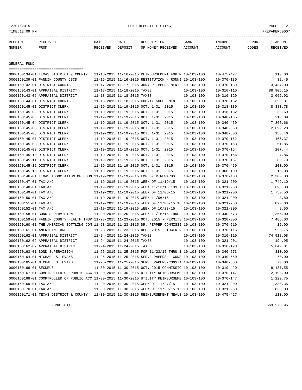#### 12/07/2015 FUND DEPOSIT LISTING PAGE 2

| RECEIPT | RECEIVED | DATE     | DATE    | DESCRIPTION       | <b>BANK</b> | <b>INCOME</b> | REPORT | <b>AMOUNT</b> |
|---------|----------|----------|---------|-------------------|-------------|---------------|--------|---------------|
| NUMBER  | FROM     | RECEIVED | DEPOSIT | OF MONEY RECEIVED | ACCOUNT     | ACCOUNT       | CODES  | RECEIVED      |
|         |          |          |         |                   |             |               |        |               |

GENERAL FUND

|                       | =====================================                                                        |                             |                             |                                                      |                  |                  |           |
|-----------------------|----------------------------------------------------------------------------------------------|-----------------------------|-----------------------------|------------------------------------------------------|------------------|------------------|-----------|
|                       | 0000160134-01 TEXAS DISTRICT & COUNTY                                                        |                             |                             | 11-16-2015 11-16-2015 REIMBURSEMENT FOR M 10-103-100 |                  | $10 - 475 - 427$ | 110.00    |
|                       | 0000160139-01 FANNIN COUNTY CSCD                                                             |                             |                             | 11-16-2015 11-16-2015 RESTITUTION - RONNI 10-103-100 |                  | $10 - 370 - 130$ | 32.45     |
|                       | 0000160142-01 DISTRICT COURTS -                                                              |                             |                             | 11-17-2015 11-17-2015 JURY REIMBURSEMENT 10-103-100  |                  | $10 - 370 - 139$ | 3,434.00  |
|                       | 0000160143-01 APPRAISAL DISTRICT                                                             |                             | 11-18-2015 11-18-2015 TAXES |                                                      | $10 - 103 - 100$ | $10 - 310 - 110$ | 88,905.15 |
|                       | 0000160143-06 APPRAISAL DISTRICT                                                             | 11-18-2015 11-18-2015 TAXES |                             |                                                      | $10 - 103 - 100$ | $10 - 310 - 120$ | 3,062.92  |
|                       | 0000160144-01 DISTRICT COURTS -                                                              |                             |                             | 11-18-2015 11-18-2015 COUNTY SUPPLEMENT F 10-103-100 |                  | $10 - 370 - 152$ | 359.81    |
|                       | 0000160145-01 DISTRICT CLERK                                                                 |                             |                             | 11-19-2015 11-19-2015 OCT. 1-31, 2015                | $10 - 103 - 100$ | $10 - 318 - 130$ | 8,383.78  |
|                       | 0000160145-02 DISTRICT CLERK                                                                 |                             |                             | 11-19-2015 11-19-2015 OCT. 1-31, 2015                | $10 - 103 - 100$ | $10 - 318 - 132$ | 33.69     |
|                       | 0000160145-03 DISTRICT CLERK                                                                 |                             |                             | 11-19-2015 11-19-2015 OCT. 1-31, 2015                | $10 - 103 - 100$ | $10 - 340 - 135$ | 210.09    |
|                       | 0000160145-04 DISTRICT CLERK                                                                 |                             |                             | 11-19-2015 11-19-2015 OCT. 1-31, 2015                | $10 - 103 - 100$ | $10 - 340 - 450$ | 7,865.66  |
|                       | 0000160145-05 DISTRICT CLERK                                                                 |                             |                             | 11-19-2015 11-19-2015 OCT. 1-31, 2015                | $10 - 103 - 100$ | $10 - 340 - 560$ | 2,699.20  |
|                       | 0000160145-06 DISTRICT CLERK                                                                 |                             |                             | 11-19-2015 11-19-2015 OCT. 1-31, 2015                | $10 - 103 - 100$ | $10 - 340 - 600$ | 155.46    |
|                       | 0000160145-07 DISTRICT CLERK                                                                 |                             |                             | 11-19-2015 11-19-2015 OCT. 1-31, 2015                | $10 - 103 - 100$ | $10 - 370 - 162$ | 466.37    |
|                       | 0000160145-08 DISTRICT CLERK                                                                 |                             |                             | 11-19-2015 11-19-2015 OCT. 1-31, 2015                | $10 - 103 - 100$ | $10 - 370 - 163$ | 51.85     |
|                       | 0000160145-09 DISTRICT CLERK                                                                 |                             |                             | 11-19-2015 11-19-2015 OCT. 1-31, 2015                | $10 - 103 - 100$ | $10 - 370 - 164$ | 207.44    |
|                       | 0000160145-10 DISTRICT CLERK                                                                 |                             |                             | 11-19-2015 11-19-2015 OCT. 1-31, 2015                | $10 - 103 - 100$ | $10 - 370 - 166$ | 7.86      |
|                       | 0000160145-11 DISTRICT CLERK                                                                 |                             |                             | 11-19-2015 11-19-2015 OCT. 1-31, 2015                | $10 - 103 - 100$ | $10 - 370 - 167$ | 80.79     |
|                       | 0000160145-12 DISTRICT CLERK                                                                 |                             |                             | 11-19-2015 11-19-2015 OCT. 1-31, 2015                | $10 - 103 - 100$ | $10 - 370 - 450$ | 200.00    |
|                       | 0000160145-13 DISTRICT CLERK                                                                 |                             |                             | 11-19-2015 11-19-2015 OCT. 1-31, 2015                | $10 - 103 - 100$ | $10 - 360 - 100$ | 18.08     |
|                       | 0000160146-01 TEXAS ASSOCIATION OF COUN 11-19-2015 11-19-2015 EMPLOYER REWARDS               |                             |                             |                                                      | $10 - 103 - 100$ | $10 - 370 - 408$ | 2,300.00  |
| 0000160147-01 TAX A/C |                                                                                              |                             |                             | 11-19-2015 11-19-2015 WEEK OF 11/19/15               | $10 - 103 - 100$ | $10 - 321 - 200$ | 1,749.10  |
| 0000160148-01 TAX A/C |                                                                                              |                             |                             | 11-19-2015 11-19-2015 WEEK 11/13/15 139 T 10-103-100 |                  | $10 - 321 - 250$ | 695.00    |
| 0000160149-01 TAX A/C |                                                                                              |                             |                             | 11-19-2015 11-19-2015 WEEK OF 11/06/15               | $10 - 103 - 100$ | $10 - 321 - 200$ | 1,750.50  |
| 0000160150-01 TAX A/C |                                                                                              |                             |                             | 11-19-2015 11-19-2015 WEEK 11/06/15                  | $10 - 103 - 100$ | $10 - 321 - 200$ | 3.80      |
| 0000160151-01 TAX A/C |                                                                                              |                             |                             | 11-19-2015 11-19-2015 WEEK OF 11/06/15 16 10-103-100 |                  | $10 - 321 - 250$ | 820.00    |
| 0000160152-01 TAX A/C |                                                                                              |                             |                             | 11-19-2015 11-19-2015 WEEK OF 10/23/15               | $10 - 103 - 100$ | $10 - 321 - 200$ | 9.50      |
|                       | 0000160158-01 BOND SUPERVISION                                                               |                             |                             | 11-20-2015 11-20-2015 WEEK 11/16/15 THRU 10-103-100  |                  | $10 - 340 - 573$ | 1,355.00  |
|                       | 0000160159-01 FANNIN COUNTY HEALTH INSP 11-23-2015 11-23-2015 OCT. 2015 - PERMITS 10-103-100 |                             |                             |                                                      |                  | $10 - 320 - 300$ | 7,485.03  |
|                       | 0000160160-01 THE AMERICAN BOTTLING COM 11-23-2015 11-23-2015 DR. PEPPER COMMISSI 10-103-100 |                             |                             |                                                      |                  | $10 - 370 - 510$ | 12.00     |
|                       | 0000160161-01 AMERICAN TOWER                                                                 |                             |                             | 11-23-2015 11-23-2015 DEC. 2015 - TOWER R 10-103-100 |                  | $10 - 370 - 115$ | 925.75    |
|                       | 0000160162-01 APPRAISAL DISTRICT                                                             | 11-24-2015 11-24-2015 TAXES |                             |                                                      | $10 - 103 - 100$ | $10 - 310 - 110$ | 74,918.08 |
|                       | 0000160162-02 APPRAISAL DISTRICT                                                             | 11-24-2015 11-24-2015 TAXES |                             |                                                      | $10 - 103 - 100$ | $10 - 321 - 901$ | 194.95    |
|                       | 0000160162-07 APPRAISAL DISTRICT                                                             | 11-24-2015 11-24-2015 TAXES |                             |                                                      | $10 - 103 - 100$ | $10 - 310 - 120$ | 5,649.31  |
|                       | 0000160163-01 BOND SUPERVISION                                                               |                             |                             | 11-25-2015 11-25-2015 FOR 11/23/15 THRU 1 10-103-100 |                  | $10 - 340 - 573$ | 310.00    |
|                       | 0000160164-01 MICHAEL S. EVANS                                                               |                             |                             | 11-25-2015 11-25-2015 SERVE PAPERS - CONS 10-103-100 |                  | $10 - 340 - 550$ | 70.00     |
|                       | 0000160165-01 MICHAEL S. EVANS                                                               |                             |                             | 11-25-2015 11-25-2015 SERVE PAPERS-CONSTA 10-103-100 |                  | $10 - 340 - 550$ | 70.00     |
| 0000160166-01 SECURUS |                                                                                              |                             |                             | 11-30-2015 11-30-2015 OCT. 2015 COMMISSIO 10-103-100 |                  | $10 - 319 - 420$ | 8,437.55  |
|                       | 0000160167-01 COMPTROLLER OF PUBLIC ACC 11-30-2015 11-30-2015 UTILITY REIMBURSEME 10-103-100 |                             |                             |                                                      |                  | $10 - 370 - 147$ | 2,198.00  |
|                       | 0000160168-01 COMPTROLLER OF PUBLIC ACC 11-30-2015 11-30-2015 UTILITY REIMBURSEME 10-103-100 |                             |                             |                                                      |                  | $10 - 370 - 147$ | 1,220.75  |
| 0000160169-01 TAX A/C |                                                                                              |                             |                             | 11-30-2015 11-30-2015 WEEK OF 11/27/15               | $10 - 103 - 100$ | $10 - 321 - 200$ | 1,330.35  |
| 0000160170-01 TAX A/C |                                                                                              |                             |                             | 11-30-2015 11-30-2015 WEEK OF 11/20/15 16 10-103-100 |                  | $10 - 321 - 250$ | 830.00    |
|                       | 0000160171-01 TEXAS DISTRICT & COUNTY                                                        |                             |                             | 11-30-2015 11-30-2015 REIMBURSEMENT MEALS 10-103-100 |                  | $10 - 475 - 427$ | 110.00    |

FUND TOTAL 663,576.95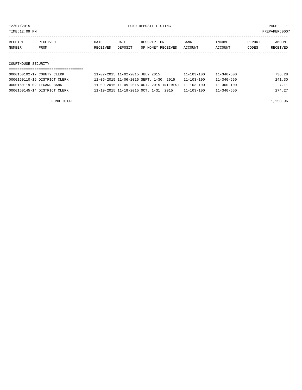TIME:12:09 PM PREPARER:0007

| RECEIPT | RECEIVED | DATE     | DATE    | DESCRIPTION               | BANK | INCOME  | REPORT | AMOUNT   |
|---------|----------|----------|---------|---------------------------|------|---------|--------|----------|
| NUMBER  | FROM     | RECEIVED | DEPOSIT | OF MONEY RECEIVED ACCOUNT |      | ACCOUNT | CODES  | RECEIVED |
|         |          |          |         |                           |      |         |        |          |
|         |          |          |         |                           |      |         |        |          |

#### COURTHOUSE SECURITY

| 0000160102-17 COUNTY CLERK   | 11-02-2015 11-02-2015 JULY 2015                     | $11 - 103 - 100$ | $11 - 340 - 600$ | 736.28 |
|------------------------------|-----------------------------------------------------|------------------|------------------|--------|
| 0000160110-15 DISTRICT CLERK | 11-06-2015 11-06-2015 SEPT. 1-30, 2015              | $11 - 103 - 100$ | $11 - 340 - 650$ | 241.30 |
| 0000160119-02 LEGAND BANK    | 11-09-2015 11-09-2015 OCT. 2015 INTEREST 11-103-100 |                  | 11-360-100       | 7.11   |
| 0000160145-14 DISTRICT CLERK | 11-19-2015 11-19-2015 OCT. 1-31, 2015               | 11-103-100       | $11 - 340 - 650$ | 274.27 |

FUND TOTAL 1,258.96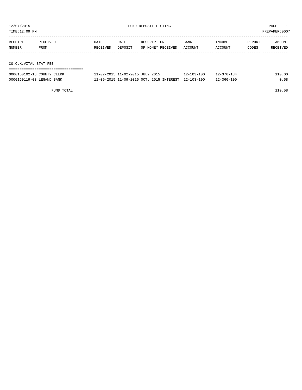TIME:12:09 PM PREPARER:0007

| RECEIPT               | RECEIVED | <b>DATE</b> | DATE    | DESCRIPTION       | <b>BANK</b> | INCOME  | REPORT | AMOUNT   |
|-----------------------|----------|-------------|---------|-------------------|-------------|---------|--------|----------|
| NUMBER                | FROM     | RECEIVED    | DEPOSIT | OF MONEY RECEIVED | ACCOUNT     | ACCOUNT | CODES  | RECEIVED |
|                       |          |             |         |                   |             |         |        |          |
|                       |          |             |         |                   |             |         |        |          |
| CO.CLK.VITAL STAT.FEE |          |             |         |                   |             |         |        |          |
|                       |          |             |         |                   |             |         |        |          |

| 0000160102-18 COUNTY CLERK | 11-02-2015 11-02-2015 JULY 2015                     | $12 - 103 - 100$ | $12 - 370 - 134$ | 110.00 |
|----------------------------|-----------------------------------------------------|------------------|------------------|--------|
| 0000160119-03 LEGAND BANK  | 11-09-2015 11-09-2015 OCT. 2015 INTEREST 12-103-100 |                  | $12 - 360 - 100$ | 0.58   |

FUND TOTAL 110.58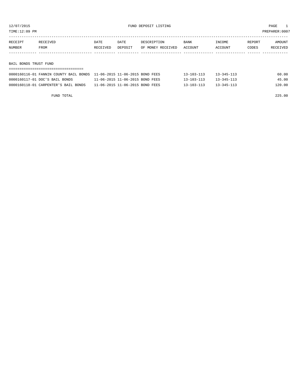12/07/2015 FUND DEPOSIT LISTING PAGE 1

| RECEIPT | RECEIVED | DATE            | DATE           | DESCRIPTION       | BANK    | INCOME  | REPORT | AMOUNT          |
|---------|----------|-----------------|----------------|-------------------|---------|---------|--------|-----------------|
| NUMBER  | FROM     | <b>RECEIVED</b> | <b>DEPOSTT</b> | OF MONEY RECEIVED | ACCOUNT | ACCOINT | CODES  | <b>RECEIVED</b> |
|         |          |                 |                |                   |         |         |        |                 |

BAIL BONDS TRUST FUND

| 0000160116-01 FANNIN COUNTY BAIL BONDS    11-06-2015    11-06-2015    BOND FEES |                                 | $13 - 103 - 113$ | $13 - 345 - 113$ | 60.00  |
|---------------------------------------------------------------------------------|---------------------------------|------------------|------------------|--------|
| 0000160117-01 DOC'S BAIL BONDS                                                  | 11-06-2015 11-06-2015 BOND FEES | $13 - 103 - 113$ | $13 - 345 - 113$ | 45.00  |
| 0000160118-01 CARPENTER'S BAIL BONDS                                            | 11-06-2015 11-06-2015 BOND FEES | $13 - 103 - 113$ | $13 - 345 - 113$ | 120.00 |

FUND TOTAL 225.00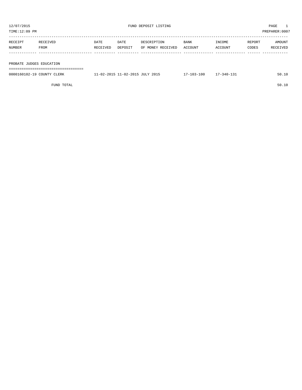| TIME:12:09 PM |          |          |         |                   |         |         |        | PREPARER:0007 |
|---------------|----------|----------|---------|-------------------|---------|---------|--------|---------------|
| RECEIPT       | RECEIVED | DATE     | DATE    | DESCRIPTION       | BANK    | INCOME  | REPORT | AMOUNT        |
| NUMBER        | FROM     | RECEIVED | DEPOSIT | OF MONEY RECEIVED | ACCOUNT | ACCOUNT | CODES  | RECEIVED      |
|               |          |          |         |                   |         |         |        |               |
|               |          |          |         |                   |         |         |        |               |

PROBATE JUDGES EDUCATION

|                                       |  |  |  |  |  |  |  |  |  |  |  |  |  |  |  |  | -------------------------------------- |
|---------------------------------------|--|--|--|--|--|--|--|--|--|--|--|--|--|--|--|--|----------------------------------------|
| ------------------------------------- |  |  |  |  |  |  |  |  |  |  |  |  |  |  |  |  |                                        |
|                                       |  |  |  |  |  |  |  |  |  |  |  |  |  |  |  |  |                                        |
|                                       |  |  |  |  |  |  |  |  |  |  |  |  |  |  |  |  |                                        |
|                                       |  |  |  |  |  |  |  |  |  |  |  |  |  |  |  |  |                                        |

| 0000160102-19 COUNTY CLERK | 11-02-2015 11-02-2015 JULY 2015 | $17 - 103 - 100$ | 17-340-131 | 50.10 |
|----------------------------|---------------------------------|------------------|------------|-------|
|                            |                                 |                  |            |       |

FUND TOTAL 50.10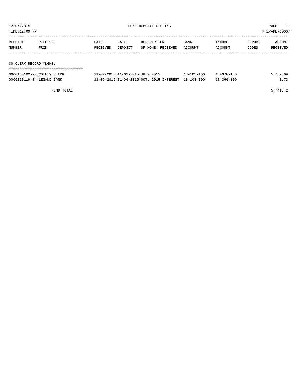| TIME:12:09 PM     |                        |                  |                 |                                  |                 |                   |                 | PREPARER:0007      |  |
|-------------------|------------------------|------------------|-----------------|----------------------------------|-----------------|-------------------|-----------------|--------------------|--|
| RECEIPT<br>NUMBER | RECEIVED<br>FROM       | DATE<br>RECEIVED | DATE<br>DEPOSIT | DESCRIPTION<br>OF MONEY RECEIVED | BANK<br>ACCOUNT | INCOME<br>ACCOUNT | REPORT<br>CODES | AMOUNT<br>RECEIVED |  |
|                   |                        |                  |                 |                                  |                 |                   |                 |                    |  |
|                   | CO.CLERK RECORD MNGMT. |                  |                 |                                  |                 |                   |                 |                    |  |
|                   |                        |                  |                 |                                  |                 |                   |                 |                    |  |

| 0000160102-20 COUNTY CLERK | 11-02-2015 11-02-2015 JULY 2015                     | $18 - 103 - 100$ | $18 - 370 - 133$ | 5,739.69 |
|----------------------------|-----------------------------------------------------|------------------|------------------|----------|
| 0000160119-04 LEGAND BANK  | 11-09-2015 11-09-2015 OCT. 2015 INTEREST 18-103-100 |                  | $18 - 360 - 100$ | 73       |

FUND TOTAL  $5,741.42$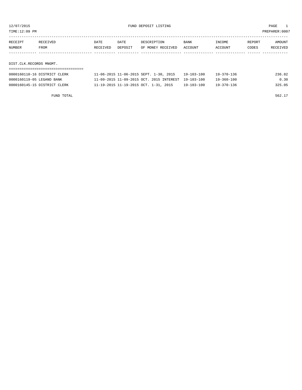TIME:12:09 PM PREPARER:0007

| RECEIPT                 | RECEIVED | DATE     | DATE    | DESCRIPTION       | <b>BANK</b> | INCOME  | REPORT | AMOUNT   |
|-------------------------|----------|----------|---------|-------------------|-------------|---------|--------|----------|
| <b>NUMBER</b>           | FROM     | RECEIVED | DEPOSIT | OF MONEY RECEIVED | ACCOUNT     | ACCOUNT | CODES  | RECEIVED |
|                         |          |          |         |                   |             |         |        |          |
|                         |          |          |         |                   |             |         |        |          |
| DIST.CLK.RECORDS MNGMT. |          |          |         |                   |             |         |        |          |

| 0000160110-16 DISTRICT CLERK | 11-06-2015 11-06-2015 SEPT. 1-30, 2015              | 19-103-100       | 19-370-136 | 236.82 |
|------------------------------|-----------------------------------------------------|------------------|------------|--------|
| 0000160119-05 LEGAND BANK    | 11-09-2015 11-09-2015 OCT. 2015 INTEREST 19-103-100 |                  | 19-360-100 | 0.30   |
| 0000160145-15 DISTRICT CLERK | 11-19-2015 11-19-2015 OCT. 1-31, 2015               | $19 - 103 - 100$ | 19-370-136 | 325.05 |

FUND TOTAL 562.17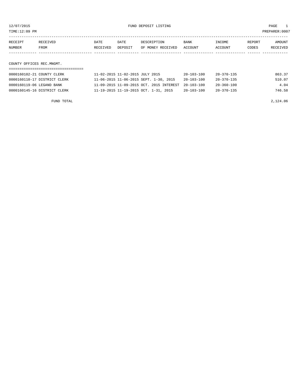TIME:12:09 PM PREPARER:0007

| RECEIPT | <b>RECEIVED</b> | DATE     | DATE    | DESCRIPTION       | <b>BANK</b> | INCOME         | REPORT | AMOUNT   |
|---------|-----------------|----------|---------|-------------------|-------------|----------------|--------|----------|
| NUMBER  | FROM            | RECEIVED | DEPOSIT | OF MONEY RECEIVED | ACCOUNT     | <b>ACCOUNT</b> | CODES  | RECEIVED |
|         |                 |          |         |                   |             |                |        |          |

COUNTY OFFICES REC.MNGMT.

| 0000160102-21 COUNTY CLERK   | 11-02-2015 11-02-2015 JULY 2015                     | $20 - 103 - 100$ | 20-370-135       | 863.37 |
|------------------------------|-----------------------------------------------------|------------------|------------------|--------|
| 0000160110-17 DISTRICT CLERK | 11-06-2015 11-06-2015 SEPT. 1-30, 2015              | $20 - 103 - 100$ | $20 - 370 - 135$ | 510.07 |
| 0000160119-06 LEGAND BANK    | 11-09-2015 11-09-2015 OCT. 2015 INTEREST 20-103-100 |                  | $20 - 360 - 100$ | 4.04   |
| 0000160145-16 DISTRICT CLERK | 11-19-2015 11-19-2015 OCT. 1-31, 2015               | $20 - 103 - 100$ | $20 - 370 - 135$ | 746.58 |

FUND TOTAL 2,124.06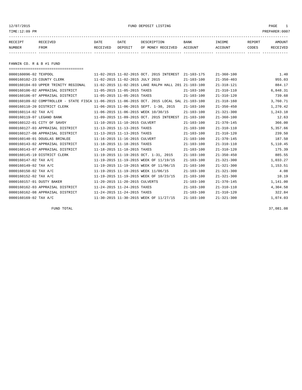12/07/2015 FUND DEPOSIT LISTING PAGE 1

| RECEIPT | RECEIVED | DATE     | DATE    | DESCRIPTION       | <b>BANK</b> | INCOME  | REPORT | AMOUNT   |
|---------|----------|----------|---------|-------------------|-------------|---------|--------|----------|
| NUMBER  | FROM     | RECEIVED | DEPOSIT | OF MONEY RECEIVED | ACCOUNT     | ACCOUNT | CODES  | RECEIVED |
|         |          |          |         |                   |             |         |        |          |

FANNIN CO. R & B #1 FUND

| ====================================                                                         |                                                      |                  |                  |          |
|----------------------------------------------------------------------------------------------|------------------------------------------------------|------------------|------------------|----------|
| 0000160096-02 TEXPOOL                                                                        | 11-02-2015 11-02-2015 OCT. 2015 INTEREST             | 21-103-175       | $21 - 360 - 100$ | 1.40     |
| 0000160102-23 COUNTY CLERK                                                                   | 11-02-2015 11-02-2015 JULY 2015                      | $21 - 103 - 100$ | $21 - 350 - 403$ | 955.03   |
| 0000160104-03 UPPER TRINITY REGIONAL                                                         | 11-02-2015 11-02-2015 LAKE RALPH HALL 201 21-103-100 |                  | $21 - 318 - 121$ | 884.17   |
| 0000160106-02 APPRAISAL DISTRICT                                                             | 11-05-2015 11-05-2015 TAXES                          | $21 - 103 - 100$ | $21 - 310 - 110$ | 6,848.31 |
| 0000160106-07 APPRAISAL DISTRICT                                                             | 11-05-2015 11-05-2015 TAXES                          | $21 - 103 - 100$ | $21 - 310 - 120$ | 739.68   |
| 0000160109-02 COMPTROLLER - STATE FISCA 11-06-2015 11-06-2015 OCT. 2015 LOCAL SAL 21-103-100 |                                                      |                  | $21 - 318 - 160$ | 3,760.71 |
| 0000160110-20 DISTRICT CLERK                                                                 | 11-06-2015 11-06-2015 SEPT. 1-30, 2015               | $21 - 103 - 100$ | $21 - 350 - 450$ | 1,270.42 |
| 0000160114-02 TAX A/C                                                                        | 11-06-2015 11-06-2015 WEEK 10/30/15                  | $21 - 103 - 100$ | $21 - 321 - 300$ | 1,243.18 |
| 0000160119-07 LEGAND BANK                                                                    | 11-09-2015 11-09-2015 OCT. 2015 INTEREST             | $21 - 103 - 100$ | $21 - 360 - 100$ | 12.63    |
| 0000160122-01 CITY OF SAVOY                                                                  | 11-10-2015 11-10-2015 CULVERT                        | $21 - 103 - 100$ | $21 - 370 - 145$ | 366.00   |
| 0000160127-03 APPRAISAL DISTRICT                                                             | 11-13-2015 11-13-2015 TAXES                          | $21 - 103 - 100$ | $21 - 310 - 110$ | 5,357.66 |
| 0000160127-08 APPRAISAL DISTRICT                                                             | 11-13-2015 11-13-2015 TAXES                          | $21 - 103 - 100$ | $21 - 310 - 120$ | 239.50   |
| 0000160140-01 DOUGLAS BRINLEE                                                                | 11-16-2015 11-16-2015 CULVERT                        | $21 - 103 - 100$ | $21 - 370 - 145$ | 187.50   |
| 0000160143-02 APPRAISAL DISTRICT                                                             | 11-18-2015 11-18-2015 TAXES                          | $21 - 103 - 100$ | $21 - 310 - 110$ | 5,110.45 |
| 0000160143-07 APPRAISAL DISTRICT                                                             | 11-18-2015 11-18-2015 TAXES                          | $21 - 103 - 100$ | $21 - 310 - 120$ | 175.39   |
| 0000160145-19 DISTRICT CLERK                                                                 | 11-19-2015 11-19-2015 OCT. 1-31, 2015                | $21 - 103 - 100$ | $21 - 350 - 450$ | 885.55   |
| 0000160147-02 TAX A/C                                                                        | 11-19-2015 11-19-2015 WEEK OF 11/19/15               | $21 - 103 - 100$ | $21 - 321 - 300$ | 1,033.27 |
| 0000160149-02 TAX A/C                                                                        | 11-19-2015 11-19-2015 WEEK OF 11/06/15               | $21 - 103 - 100$ | $21 - 321 - 300$ | 1,153.51 |
| 0000160150-02 TAX A/C                                                                        | 11-19-2015 11-19-2015 WEEK 11/06/15                  | $21 - 103 - 100$ | $21 - 321 - 300$ | 4.08     |
| 0000160152-02 TAX A/C                                                                        | 11-19-2015 11-19-2015 WEEK OF 10/23/15               | $21 - 103 - 100$ | $21 - 321 - 300$ | 10.19    |
| 0000160157-01 DUSTY BAKER                                                                    | 11-20-2015 11-20-2015 CULVERTS                       | $21 - 103 - 100$ | $21 - 370 - 145$ | 1,141.00 |
| 0000160162-03 APPRAISAL DISTRICT                                                             | 11-24-2015 11-24-2015 TAXES                          | $21 - 103 - 100$ | $21 - 310 - 110$ | 4,304.58 |
| 0000160162-08 APPRAISAL DISTRICT                                                             | 11-24-2015 11-24-2015 TAXES                          | $21 - 103 - 100$ | $21 - 310 - 120$ | 322.84   |
| 0000160169-02 TAX A/C                                                                        | 11-30-2015 11-30-2015 WEEK OF 11/27/15               | $21 - 103 - 100$ | $21 - 321 - 300$ | 1,074.03 |

FUND TOTAL 37,081.08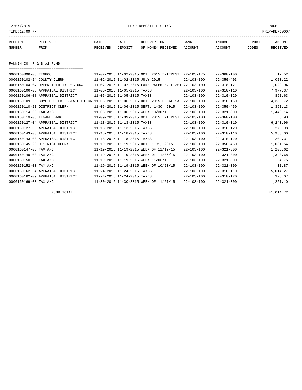12/07/2015 FUND DEPOSIT LISTING PAGE 1

| RECEIPT | RECEIVED | DATE     | DATE    | DESCRIPTION       | BANK    | INCOME  | REPORT | AMOUNT   |
|---------|----------|----------|---------|-------------------|---------|---------|--------|----------|
| NUMBER  | FROM     | RECEIVED | DEPOSIT | OF MONEY RECEIVED | ACCOUNT | ACCOUNT | CODES  | RECEIVED |
|         |          |          |         |                   |         |         |        |          |

FANNIN CO. R & B #2 FUND

| ===================================== |                                                                                              |                  |                  |          |
|---------------------------------------|----------------------------------------------------------------------------------------------|------------------|------------------|----------|
| 0000160096-03 TEXPOOL                 | 11-02-2015 11-02-2015 OCT. 2015 INTEREST                                                     | $22 - 103 - 175$ | $22 - 360 - 100$ | 12.52    |
| 0000160102-24 COUNTY CLERK            | 11-02-2015 11-02-2015 JULY 2015                                                              | $22 - 103 - 100$ | $22 - 350 - 403$ | 1,023.22 |
| 0000160104-04 UPPER TRINITY REGIONAL  | 11-02-2015 11-02-2015 LAKE RALPH HALL 201 22-103-100                                         |                  | $22 - 318 - 121$ | 1,029.94 |
| 0000160106-03 APPRAISAL DISTRICT      | 11-05-2015 11-05-2015 TAXES                                                                  | $22 - 103 - 100$ | $22 - 310 - 110$ | 7,977.37 |
| 0000160106-08 APPRAISAL DISTRICT      | 11-05-2015 11-05-2015 TAXES                                                                  | $22 - 103 - 100$ | $22 - 310 - 120$ | 861.63   |
|                                       | 0000160109-03 COMPTROLLER - STATE FISCA 11-06-2015 11-06-2015 OCT. 2015 LOCAL SAL 22-103-100 |                  | $22 - 318 - 160$ | 4,380.72 |
| 0000160110-21 DISTRICT CLERK          | 11-06-2015 11-06-2015 SEPT. 1-30, 2015                                                       | $22 - 103 - 100$ | $22 - 350 - 450$ | 1,361.13 |
| 0000160114-03 TAX A/C                 | 11-06-2015 11-06-2015 WEEK 10/30/15                                                          | $22 - 103 - 100$ | $22 - 321 - 300$ | 1,448.14 |
| 0000160119-08 LEGAND BANK             | 11-09-2015 11-09-2015 OCT. 2015 INTEREST                                                     | $22 - 103 - 100$ | $22 - 360 - 100$ | 5.90     |
| 0000160127-04 APPRAISAL DISTRICT      | 11-13-2015 11-13-2015 TAXES                                                                  | $22 - 103 - 100$ | $22 - 310 - 110$ | 6,240.96 |
| 0000160127-09 APPRAISAL DISTRICT      | 11-13-2015 11-13-2015 TAXES                                                                  | $22 - 103 - 100$ | $22 - 310 - 120$ | 278.98   |
| 0000160143-03 APPRAISAL DISTRICT      | 11-18-2015 11-18-2015 TAXES                                                                  | $22 - 103 - 100$ | $22 - 310 - 110$ | 5,953.00 |
| 0000160143-08 APPRAISAL DISTRICT      | 11-18-2015 11-18-2015 TAXES                                                                  | $22 - 103 - 100$ | $22 - 310 - 120$ | 204.31   |
| 0000160145-20 DISTRICT CLERK          | 11-19-2015 11-19-2015 OCT. 1-31, 2015                                                        | $22 - 103 - 100$ | $22 - 350 - 450$ | 1,031.54 |
| 0000160147-03 TAX A/C                 | 11-19-2015 11-19-2015 WEEK OF 11/19/15                                                       | $22 - 103 - 100$ | $22 - 321 - 300$ | 1,203.62 |
| 0000160149-03 TAX A/C                 | 11-19-2015 11-19-2015 WEEK OF 11/06/15                                                       | $22 - 103 - 100$ | $22 - 321 - 300$ | 1,343.68 |
| 0000160150-03 TAX A/C                 | 11-19-2015 11-19-2015 WEEK 11/06/15                                                          | $22 - 103 - 100$ | $22 - 321 - 300$ | 4.75     |
| 0000160152-03 TAX A/C                 | 11-19-2015 11-19-2015 WEEK OF 10/23/15                                                       | $22 - 103 - 100$ | $22 - 321 - 300$ | 11.87    |
| 0000160162-04 APPRAISAL DISTRICT      | 11-24-2015 11-24-2015 TAXES                                                                  | $22 - 103 - 100$ | $22 - 310 - 110$ | 5,014.27 |
| 0000160162-09 APPRAISAL DISTRICT      | 11-24-2015 11-24-2015 TAXES                                                                  | $22 - 103 - 100$ | $22 - 310 - 120$ | 376.07   |
| 0000160169-03 TAX A/C                 | 11-30-2015 11-30-2015 WEEK OF 11/27/15                                                       | $22 - 103 - 100$ | $22 - 321 - 300$ | 1,251.10 |

FUND TOTAL  $41,014.72$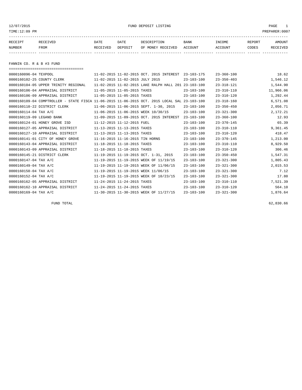12/07/2015 FUND DEPOSIT LISTING PAGE 1

| RECEIPT | RECEIVED | DATE     | DATE    | DESCRIPTION       | <b>BANK</b> | INCOME  | REPORT | AMOUNT   |
|---------|----------|----------|---------|-------------------|-------------|---------|--------|----------|
| NUMBER  | FROM     | RECEIVED | DEPOSIT | OF MONEY RECEIVED | ACCOUNT     | ACCOUNT | CODES  | RECEIVED |
|         |          |          |         |                   |             |         |        |          |

FANNIN CO. R & B #3 FUND

| ===================================== |                                                                                              |                  |                  |           |
|---------------------------------------|----------------------------------------------------------------------------------------------|------------------|------------------|-----------|
| 0000160096-04 TEXPOOL                 | 11-02-2015 11-02-2015 OCT. 2015 INTEREST                                                     | $23 - 103 - 175$ | $23 - 360 - 100$ | 18.62     |
| 0000160102-25 COUNTY CLERK            | 11-02-2015 11-02-2015 JULY 2015                                                              | $23 - 103 - 100$ | $23 - 350 - 403$ | 1,546.12  |
| 0000160104-05 UPPER TRINITY REGIONAL  | 11-02-2015 11-02-2015 LAKE RALPH HALL 201                                                    | $23 - 103 - 100$ | $23 - 318 - 121$ | 1,544.90  |
| 0000160106-04 APPRAISAL DISTRICT      | 11-05-2015 11-05-2015 TAXES                                                                  | $23 - 103 - 100$ | $23 - 310 - 110$ | 11,966.06 |
| 0000160106-09 APPRAISAL DISTRICT      | 11-05-2015 11-05-2015 TAXES                                                                  | $23 - 103 - 100$ | $23 - 310 - 120$ | 1,292.44  |
|                                       | 0000160109-04 COMPTROLLER - STATE FISCA 11-06-2015 11-06-2015 OCT. 2015 LOCAL SAL 23-103-100 |                  | $23 - 318 - 160$ | 6,571.08  |
| 0000160110-22 DISTRICT CLERK          | 11-06-2015 11-06-2015 SEPT. 1-30, 2015                                                       | $23 - 103 - 100$ | $23 - 350 - 450$ | 2,056.71  |
| 0000160114-04 TAX A/C                 | 11-06-2015 11-06-2015 WEEK 10/30/15                                                          | $23 - 103 - 100$ | $23 - 321 - 300$ | 2,172.21  |
| 0000160119-09 LEGAND BANK             | 11-09-2015 11-09-2015 OCT. 2015 INTEREST                                                     | $23 - 103 - 100$ | $23 - 360 - 100$ | 12.93     |
| 0000160124-01 HONEY GROVE ISD         | 11-12-2015 11-12-2015 FUEL                                                                   | $23 - 103 - 100$ | $23 - 370 - 145$ | 65.39     |
| 0000160127-05 APPRAISAL DISTRICT      | 11-13-2015 11-13-2015 TAXES                                                                  | $23 - 103 - 100$ | $23 - 310 - 110$ | 9,361.45  |
| 0000160127-10 APPRAISAL DISTRICT      | 11-13-2015 11-13-2015 TAXES                                                                  | $23 - 103 - 100$ | $23 - 310 - 120$ | 418.47    |
| 0000160141-01 CITY OF HONEY GROVE     | 11-16-2015 11-16-2015 TIN HORNS                                                              | $23 - 103 - 100$ | $23 - 370 - 145$ | 1,213.00  |
| 0000160143-04 APPRAISAL DISTRICT      | 11-18-2015 11-18-2015 TAXES                                                                  | $23 - 103 - 100$ | $23 - 310 - 110$ | 8,929.50  |
| 0000160143-09 APPRAISAL DISTRICT      | 11-18-2015 11-18-2015 TAXES                                                                  | $23 - 103 - 100$ | $23 - 310 - 120$ | 306.46    |
| 0000160145-21 DISTRICT CLERK          | 11-19-2015 11-19-2015 OCT. 1-31, 2015                                                        | $23 - 103 - 100$ | $23 - 350 - 450$ | 1,547.31  |
| 0000160147-04 TAX A/C                 | 11-19-2015 11-19-2015 WEEK OF 11/19/15                                                       | $23 - 103 - 100$ | $23 - 321 - 300$ | 1,805.43  |
| 0000160149-04 TAX A/C                 | 11-19-2015 11-19-2015 WEEK OF 11/06/15                                                       | $23 - 103 - 100$ | $23 - 321 - 300$ | 2,015.53  |
| 0000160150-04 TAX A/C                 | 11-19-2015 11-19-2015 WEEK 11/06/15                                                          | $23 - 103 - 100$ | $23 - 321 - 300$ | 7.12      |
| 0000160152-04 TAX A/C                 | 11-19-2015 11-19-2015 WEEK OF 10/23/15                                                       | $23 - 103 - 100$ | $23 - 321 - 300$ | 17.80     |
| 0000160162-05 APPRAISAL DISTRICT      | 11-24-2015 11-24-2015 TAXES                                                                  | $23 - 103 - 100$ | $23 - 310 - 110$ | 7,521.39  |
| 0000160162-10 APPRAISAL DISTRICT      | 11-24-2015 11-24-2015 TAXES                                                                  | $23 - 103 - 100$ | $23 - 310 - 120$ | 564.10    |
| 0000160169-04 TAX A/C                 | 11-30-2015 11-30-2015 WEEK OF 11/27/15                                                       | $23 - 103 - 100$ | $23 - 321 - 300$ | 1,876.64  |

FUND TOTAL 62,830.66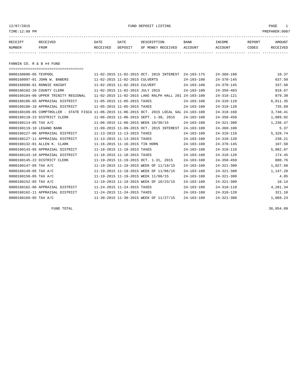#### 12/07/2015 FUND DEPOSIT LISTING PAGE 1

| RECEIPT | <b>RECEIVED</b> | DATE            | DATE    | DESCRIPTION       | <b>BANK</b> | INCOME  | REPORT | AMOUNT          |
|---------|-----------------|-----------------|---------|-------------------|-------------|---------|--------|-----------------|
| NUMBER  | FROM            | <b>RECEIVED</b> | DEPOSIT | OF MONEY RECEIVED | ACCOUNT     | ACCOUNT | CODES  | <b>RECEIVED</b> |
|         |                 |                 |         |                   |             |         |        |                 |

FANNIN CO. R & B #4 FUND

| ====================================                                                         |                                |                                                      |                  |                  |          |
|----------------------------------------------------------------------------------------------|--------------------------------|------------------------------------------------------|------------------|------------------|----------|
| 0000160096-05 TEXPOOL                                                                        |                                | 11-02-2015 11-02-2015 OCT. 2015 INTEREST             | $24 - 103 - 175$ | $24 - 360 - 100$ | 10.37    |
| 0000160097-01 JOHN W. BABERS                                                                 | 11-02-2015 11-02-2015 CULVERTS |                                                      | $24 - 103 - 100$ | $24 - 370 - 145$ | 637.50   |
| 0000160098-01 RONNIE KNIGHT                                                                  | 11-02-2015 11-02-2015 CULVERT  |                                                      | $24 - 103 - 100$ | $24 - 370 - 145$ | 337.50   |
| 0000160102-26 COUNTY CLERK                                                                   |                                | 11-02-2015 11-02-2015 JULY 2015                      | $24 - 103 - 100$ | $24 - 350 - 403$ | 818.67   |
| 0000160104-06 UPPER TRINITY REGIONAL                                                         |                                | 11-02-2015 11-02-2015 LAKE RALPH HALL 201 24-103-100 |                  | $24 - 318 - 121$ | 879.39   |
| 0000160106-05 APPRAISAL DISTRICT                                                             | 11-05-2015 11-05-2015 TAXES    |                                                      | $24 - 103 - 100$ | $24 - 310 - 110$ | 6,811.35 |
| 0000160106-10 APPRAISAL DISTRICT                                                             | 11-05-2015 11-05-2015 TAXES    |                                                      | $24 - 103 - 100$ | $24 - 310 - 120$ | 735.69   |
| 0000160109-05 COMPTROLLER - STATE FISCA 11-06-2015 11-06-2015 OCT. 2015 LOCAL SAL 24-103-100 |                                |                                                      |                  | $24 - 318 - 160$ | 3,740.41 |
| 0000160110-23 DISTRICT CLERK                                                                 |                                | 11-06-2015 11-06-2015 SEPT. 1-30, 2015               | $24 - 103 - 100$ | $24 - 350 - 450$ | 1,089.02 |
| 0000160114-05 TAX A/C                                                                        |                                | 11-06-2015 11-06-2015 WEEK 10/30/15                  | $24 - 103 - 100$ | $24 - 321 - 300$ | 1,236.47 |
| 0000160119-10 LEGAND BANK                                                                    |                                | 11-09-2015 11-09-2015 OCT. 2015 INTEREST             | $24 - 103 - 100$ | $24 - 360 - 100$ | 5.37     |
| 0000160127-06 APPRAISAL DISTRICT                                                             | 11-13-2015 11-13-2015 TAXES    |                                                      | $24 - 103 - 100$ | $24 - 310 - 110$ | 5,328.74 |
| 0000160127-11 APPRAISAL DISTRICT                                                             | 11-13-2015 11-13-2015 TAXES    |                                                      | $24 - 103 - 100$ | $24 - 310 - 120$ | 238.21   |
| 0000160132-01 ALLEN K. CLARK                                                                 |                                | 11-16-2015 11-16-2015 TIN HORN                       | $24 - 103 - 100$ | $24 - 370 - 145$ | 187.50   |
| 0000160143-05 APPRAISAL DISTRICT                                                             | 11-18-2015 11-18-2015 TAXES    |                                                      | $24 - 103 - 100$ | $24 - 310 - 110$ | 5,082.87 |
| 0000160143-10 APPRAISAL DISTRICT                                                             | 11-18-2015 11-18-2015 TAXES    |                                                      | $24 - 103 - 100$ | $24 - 310 - 120$ | 174.45   |
| 0000160145-22 DISTRICT CLERK                                                                 |                                | 11-19-2015 11-19-2015 OCT. 1-31, 2015                | $24 - 103 - 100$ | $24 - 350 - 450$ | 880.76   |
| 0000160147-05 TAX A/C                                                                        |                                | 11-19-2015 11-19-2015 WEEK OF 11/19/15               | $24 - 103 - 100$ | $24 - 321 - 300$ | 1,027.68 |
| 0000160149-05 TAX A/C                                                                        |                                | 11-19-2015 11-19-2015 WEEK OF 11/06/15               | $24 - 103 - 100$ | $24 - 321 - 300$ | 1,147.28 |
| 0000160150-05 TAX A/C                                                                        |                                | 11-19-2015 11-19-2015 WEEK 11/06/15                  | $24 - 103 - 100$ | $24 - 321 - 300$ | 4.05     |
| 0000160152-05 TAX A/C                                                                        |                                | 11-19-2015 11-19-2015 WEEK OF 10/23/15               | $24 - 103 - 100$ | $24 - 321 - 300$ | 10.14    |
| 0000160162-06 APPRAISAL DISTRICT                                                             | 11-24-2015 11-24-2015 TAXES    |                                                      | $24 - 103 - 100$ | $24 - 310 - 110$ | 4,281.34 |
| 0000160162-11 APPRAISAL DISTRICT                                                             | 11-24-2015 11-24-2015 TAXES    |                                                      | $24 - 103 - 100$ | $24 - 310 - 120$ | 321.10   |
| 0000160169-05 TAX A/C                                                                        |                                | 11-30-2015 11-30-2015 WEEK OF 11/27/15               | $24 - 103 - 100$ | $24 - 321 - 300$ | 1,068.23 |

FUND TOTAL 36,054.09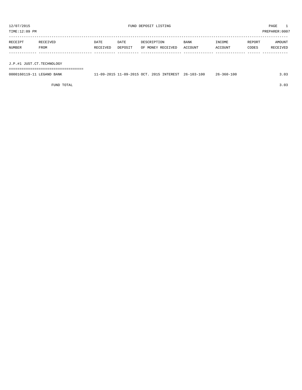| TIME:12:09 PM |                           |          |         |                   |         |         |        | PREPARER: 0007 |  |
|---------------|---------------------------|----------|---------|-------------------|---------|---------|--------|----------------|--|
|               |                           |          |         |                   |         |         |        |                |  |
| RECEIPT       | RECEIVED                  | DATE     | DATE    | DESCRIPTION       | BANK    | INCOME  | REPORT | AMOUNT         |  |
| NUMBER        | FROM                      | RECEIVED | DEPOSIT | OF MONEY RECEIVED | ACCOUNT | ACCOUNT | CODES  | RECEIVED       |  |
|               |                           |          |         |                   |         |         |        |                |  |
|               |                           |          |         |                   |         |         |        |                |  |
|               | J.P.#1 JUST.CT.TECHNOLOGY |          |         |                   |         |         |        |                |  |
|               |                           |          |         |                   |         |         |        |                |  |

0000160119-11 LEGAND BANK 11-09-2015 11-09-2015 OCT. 2015 INTEREST 26-103-100 26-360-100 3.03

FUND TOTAL 3.03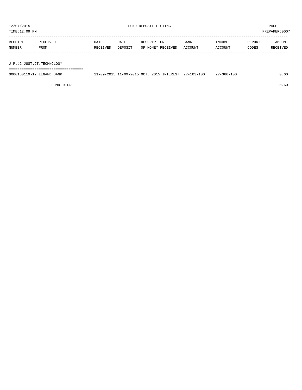| TIME:12:09 PM             |                  |                  |                 |                                  |                 |                   |                 | PREPARER: 0007     |
|---------------------------|------------------|------------------|-----------------|----------------------------------|-----------------|-------------------|-----------------|--------------------|
| RECEIPT<br>NUMBER         | RECEIVED<br>FROM | DATE<br>RECEIVED | DATE<br>DEPOSIT | DESCRIPTION<br>OF MONEY RECEIVED | BANK<br>ACCOUNT | INCOME<br>ACCOUNT | REPORT<br>CODES | AMOUNT<br>RECEIVED |
| J.P.#2 JUST.CT.TECHNOLOGY |                  |                  |                 |                                  |                 |                   |                 |                    |
|                           |                  |                  |                 |                                  |                 |                   |                 |                    |

| 00001<br>BANK<br>NTD<br>$\overline{\phantom{a}}$ | 001E<br>$\cap$<br>$-09$<br>ററ<br>າດ:<br>$-LU$ .<br>$\cdots$ | 2015<br><b>INTEREST</b> | 100<br>$\cap$<br>$\sim$<br>$-560-$<br>115<br>. . | $\sim$ $\sim$<br>. . 6 U |
|--------------------------------------------------|-------------------------------------------------------------|-------------------------|--------------------------------------------------|--------------------------|

FUND TOTAL 0.60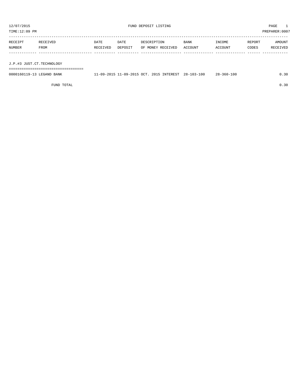| TIME:12:09 PM |                           |          |         |                   |         |         |        | PREPARER:0007 |  |
|---------------|---------------------------|----------|---------|-------------------|---------|---------|--------|---------------|--|
|               |                           |          |         |                   |         |         |        |               |  |
| RECEIPT       | RECEIVED                  | DATE     | DATE    | DESCRIPTION       | BANK    | INCOME  | REPORT | AMOUNT        |  |
| NUMBER        | FROM                      | RECEIVED | DEPOSIT | OF MONEY RECEIVED | ACCOUNT | ACCOUNT | CODES  | RECEIVED      |  |
|               |                           |          |         |                   |         |         |        |               |  |
|               |                           |          |         |                   |         |         |        |               |  |
|               | J.P.#3 JUST.CT.TECHNOLOGY |          |         |                   |         |         |        |               |  |
|               |                           |          |         |                   |         |         |        |               |  |

0000160119-13 LEGAND BANK 11-09-2015 11-09-2015 OCT. 2015 INTEREST 28-103-100 28-360-100 0.30

FUND TOTAL  $0.30$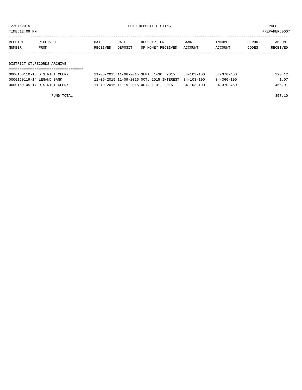TIME:12:09 PM PREPARER:0007

| RECEIPT | RECEIVED                    | DATE     | DATE    | DESCRIPTION       | <b>BANK</b> | INCOME  | REPORT | AMOUNT   |
|---------|-----------------------------|----------|---------|-------------------|-------------|---------|--------|----------|
| NUMBER  | FROM                        | RECEIVED | DEPOSIT | OF MONEY RECEIVED | ACCOUNT     | ACCOUNT | CODES  | RECEIVED |
|         |                             |          |         |                   |             |         |        |          |
|         |                             |          |         |                   |             |         |        |          |
|         | DISTRICT CT.RECORDS ARCHIVE |          |         |                   |             |         |        |          |

### ===================================

| 0000160110-18 DISTRICT CLERK | 11-06-2015 11-06-2015 SEPT. 1-30, 2015              | $34 - 103 - 100$ | $34 - 370 - 450$ | 390.12 |
|------------------------------|-----------------------------------------------------|------------------|------------------|--------|
| 0000160119-14 LEGAND BANK    | 11-09-2015 11-09-2015 OCT. 2015 INTEREST 34-103-100 |                  | $34 - 360 - 100$ | 1.07   |
| 0000160145-17 DISTRICT CLERK | 11-19-2015 11-19-2015 OCT. 1-31, 2015               | $34 - 103 - 100$ | $34 - 370 - 450$ | 465.91 |
|                              |                                                     |                  |                  |        |

FUND TOTAL 857.10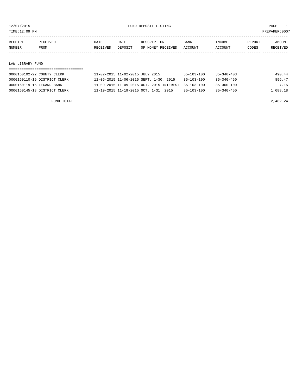TIME:12:09 PM PREPARER:0007

| RECEIPT | RECEIVED | DATE     | DATE           | DESCRIPTION       | <b>BANK</b> | <b>INCOME</b> | REPORT | AMOUNT          |
|---------|----------|----------|----------------|-------------------|-------------|---------------|--------|-----------------|
| NUMBER  | FROM     | RECEIVED | <b>DEPOSTT</b> | OF MONEY RECEIVED | ACCOUNT     | ACCOUNT       | CODES  | <b>RECEIVED</b> |
|         |          |          |                |                   |             |               |        |                 |

#### LAW LIBRARY FUND

| 0000160102-22 COUNTY CLERK   | 11-02-2015 11-02-2015 JULY 2015                     | 35-103-100       | $35 - 340 - 403$ | 490.44   |
|------------------------------|-----------------------------------------------------|------------------|------------------|----------|
| 0000160110-19 DISTRICT CLERK | 11-06-2015 11-06-2015 SEPT. 1-30, 2015              | $35 - 103 - 100$ | $35 - 340 - 450$ | 896.47   |
| 0000160119-15 LEGAND BANK    | 11-09-2015 11-09-2015 OCT. 2015 INTEREST 35-103-100 |                  | 35-360-100       | 7.15     |
| 0000160145-18 DISTRICT CLERK | 11-19-2015 11-19-2015 OCT. 1-31, 2015               | $35 - 103 - 100$ | $35 - 340 - 450$ | 1,088.18 |

FUND TOTAL  $2,482.24$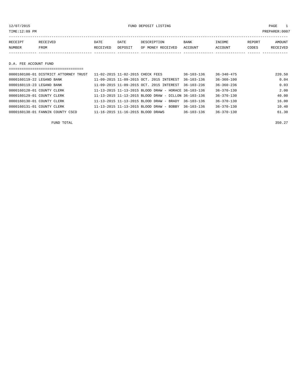12/07/2015 FUND DEPOSIT LISTING PAGE 1

| RECEIPT | <b>RECEIVED</b> | DATE            | DATE    | DESCRIPTION       | <b>BANK</b> | INCOME  | REPORT | AMOUNT          |
|---------|-----------------|-----------------|---------|-------------------|-------------|---------|--------|-----------------|
| NUMBER  | FROM            | <b>RECEIVED</b> | DEPOSIT | OF MONEY RECEIVED | ACCOUNT     | ACCOUNT | CODES  | <b>RECEIVED</b> |
|         |                 |                 |         |                   |             |         |        |                 |

D.A. FEE ACCOUNT FUND

| ----------------------------------    |                                                          |                  |                  |        |
|---------------------------------------|----------------------------------------------------------|------------------|------------------|--------|
| 0000160100-01 DISTRICT ATTORNEY TRUST | 11-02-2015 11-02-2015 CHECK FEES                         | $36 - 103 - 136$ | $36 - 340 - 475$ | 220.50 |
| 0000160119-22 LEGAND BANK             | 11-09-2015 11-09-2015 OCT. 2015 INTEREST                 | $36 - 103 - 136$ | $36 - 360 - 100$ | 0.04   |
| 0000160119-23 LEGAND BANK             | 11-09-2015 11-09-2015 OCT. 2015 INTEREST                 | $36 - 103 - 236$ | $36 - 360 - 236$ | 0.03   |
| 0000160128-01 COUNTY CLERK            | $11-13-2015$ $11-13-2015$ BLOOD DRAW - HORACE 36-103-136 |                  | $36 - 370 - 130$ | 2.00   |
| 0000160129-01 COUNTY CLERK            | 11-13-2015 11-13-2015 BLOOD DRAW - DILLON 36-103-136     |                  | $36 - 370 - 130$ | 40.00  |
| 0000160130-01 COUNTY CLERK            | $11 - 13 - 2015$ $11 - 13 - 2015$ BLOOD DRAW - BRADY     | 36-103-136       | $36 - 370 - 130$ | 16.00  |
| 0000160131-01 COUNTY CLERK            | $11 - 13 - 2015$ $11 - 13 - 2015$ BLOOD DRAW - BOBBY     | $36 - 103 - 136$ | $36 - 370 - 130$ | 10.40  |
| 0000160138-01 FANNIN COUNTY CSCD      | 11-16-2015 11-16-2015 BLOOD DRAWS                        | $36 - 103 - 136$ | $36 - 370 - 130$ | 61.30  |

FUND TOTAL  $350.27$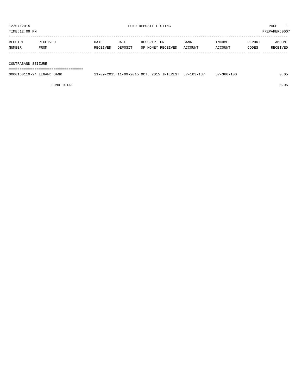| TIME:12:09 PM<br>PREPARER:0007 |                    |          |         |                   |         |         |        |          |  |
|--------------------------------|--------------------|----------|---------|-------------------|---------|---------|--------|----------|--|
|                                |                    |          |         |                   |         |         |        |          |  |
| RECEIPT                        | RECEIVED           | DATE     | DATE    | DESCRIPTION       | BANK    | INCOME  | REPORT | AMOUNT   |  |
| NUMBER                         | FROM               | RECEIVED | DEPOSIT | OF MONEY RECEIVED | ACCOUNT | ACCOUNT | CODES  | RECEIVED |  |
|                                |                    |          |         |                   |         |         |        |          |  |
|                                |                    |          |         |                   |         |         |        |          |  |
|                                | CONTRABAND SEIZURE |          |         |                   |         |         |        |          |  |
|                                |                    |          |         |                   |         |         |        |          |  |

| 0000160119-24 LEGAND BANK | 1-09-2015 OCT.<br>$11 - 09 - 2015$ $11 - 1$ | 2015 INTEREST | 37–103–137<br>$\cap$ | 37-360-100 |  |
|---------------------------|---------------------------------------------|---------------|----------------------|------------|--|
|                           |                                             |               |                      |            |  |

FUND TOTAL 0.05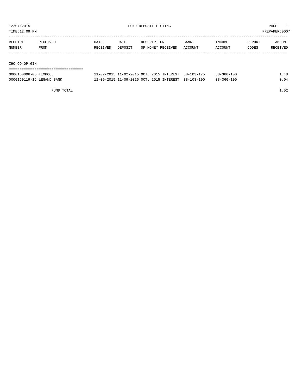TIME:12:09 PM PREPARER:0007

| RECEIPT | RECEIVED | DATE     | DATE    | DESCRIPTION       | <b>BANK</b> | INCOME  | REPORT | AMOUNT   |
|---------|----------|----------|---------|-------------------|-------------|---------|--------|----------|
| NUMBER  | FROM     | RECEIVED | DEPOSIT | OF MONEY RECEIVED | ACCOUNT     | ACCOUNT | CODES  | RECEIVED |
|         |          |          |         |                   |             |         |        |          |
| $\tau$  |          |          |         |                   |             |         |        |          |

IHC CO-OP GIN

| ==================================== |                                                     |  |  |                  |      |
|--------------------------------------|-----------------------------------------------------|--|--|------------------|------|
| 0000160096-06 TEXPOOL                | 11-02-2015 11-02-2015 OCT. 2015 INTEREST 38-103-175 |  |  | $38 - 360 - 100$ | 1.48 |
| 0000160119-16 LEGAND BANK            | 11-09-2015 11-09-2015 OCT. 2015 INTEREST 38-103-100 |  |  | $38 - 360 - 100$ | 0.04 |

FUND TOTAL 1.52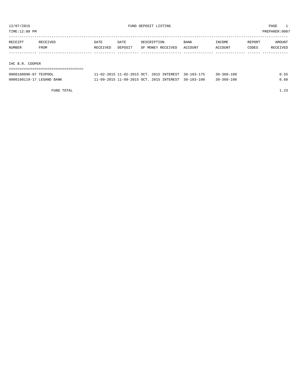TIME:12:09 PM PREPARER:0007

| RECEIPT | RECEIVED        | <b>DATE</b> | DATE    | DESCRIPTION       | <b>BANK</b> | INCOME  | REPORT | <b>AMOUNT</b> |
|---------|-----------------|-------------|---------|-------------------|-------------|---------|--------|---------------|
| NUMBER  | FROM            | RECEIVED    | DEPOSIT | OF MONEY RECEIVED | ACCOUNT     | ACCOUNT | CODES  | RECEIVED      |
|         |                 |             |         |                   |             |         |        |               |
|         |                 |             |         |                   |             |         |        |               |
|         | IHC B.R. COOPER |             |         |                   |             |         |        |               |
|         |                 |             |         |                   |             |         |        |               |

| 0000160096-07 TEXPOOL     | 11-02-2015 11-02-2015 OCT, 2015 INTEREST 39-103-175 |            | $39 - 360 - 100$ |      |
|---------------------------|-----------------------------------------------------|------------|------------------|------|
| 0000160119-17 LEGAND BANK | 11-09-2015 11-09-2015 OCT. 2015 INTEREST            | 39-103-100 | $39 - 360 - 100$ | . 68 |

FUND TOTAL  $1.23$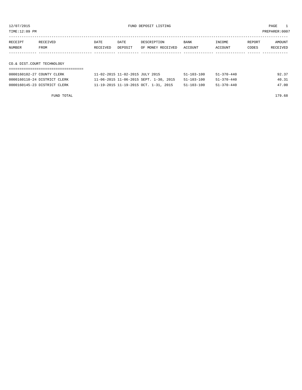12/07/2015 FUND DEPOSIT LISTING PAGE 1

| RECEIPT | <b>RECEIVED</b> | DATE     | DATE    | DESCRIPTION       | <b>BANK</b> | <b>TNCOME</b> | REPORT | AMOUNT          |
|---------|-----------------|----------|---------|-------------------|-------------|---------------|--------|-----------------|
| NUMBER  | FROM            | RECEIVED | DEPOSIT | OF MONEY RECEIVED | ACCOUNT     | ACCOUNT       | CODES  | <b>RECEIVED</b> |
|         |                 |          |         |                   |             |               |        |                 |

CO.& DIST.COURT TECHNOLOGY

| 0000160102-27 COUNTY CLERK   | 11-02-2015 11-02-2015 JULY 2015        | $51 - 103 - 100$ | $51 - 370 - 440$ | 92.37 |
|------------------------------|----------------------------------------|------------------|------------------|-------|
| 0000160110-24 DISTRICT CLERK | 11-06-2015 11-06-2015 SEPT. 1-30, 2015 | $51 - 103 - 100$ | 51-370-440       | 40.31 |
| 0000160145-23 DISTRICT CLERK | 11-19-2015 11-19-2015 OCT. 1-31, 2015  | $51 - 103 - 100$ | 51-370-440       | 47.00 |

FUND TOTAL 179.68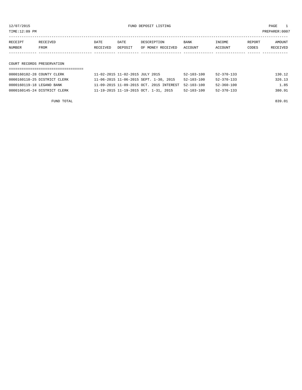12/07/2015 FUND DEPOSIT LISTING PAGE 1

| RECEIPT | <b>RECEIVED</b> | DATE     | DATE    | DESCRIPTION       | <b>BANK</b> | INCOME         | REPORT | AMOUNT   |
|---------|-----------------|----------|---------|-------------------|-------------|----------------|--------|----------|
| NUMBER  | FROM            | RECEIVED | DEPOSIT | OF MONEY RECEIVED | ACCOUNT     | <b>ACCOUNT</b> | CODES  | RECEIVED |
|         |                 |          |         |                   |             |                |        |          |

COURT RECORDS PRESERVATION

| 0000160102-28 COUNTY CLERK   | 11-02-2015 11-02-2015 JULY 2015          | 52-103-100       | 52-370-133       | 130.12 |
|------------------------------|------------------------------------------|------------------|------------------|--------|
| 0000160110-25 DISTRICT CLERK | 11-06-2015 11-06-2015 SEPT. 1-30, 2015   | $52 - 103 - 100$ | $52 - 370 - 133$ | 326.13 |
| 0000160119-18 LEGAND BANK    | 11-09-2015 11-09-2015 OCT. 2015 INTEREST | 52-103-100       | $52 - 360 - 100$ | 1.85   |
| 0000160145-24 DISTRICT CLERK | 11-19-2015 11-19-2015 OCT. 1-31, 2015    | 52-103-100       | 52-370-133       | 380.91 |

FUND TOTAL 839.01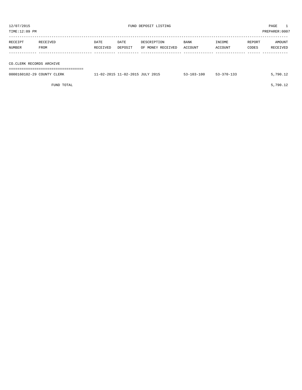| 12/07/2015<br>TIME:12:09 PM |                          |                  |                 | FUND DEPOSIT LISTING             | PAGE<br>PREPARER: 0007 |                   |                 |                    |  |  |
|-----------------------------|--------------------------|------------------|-----------------|----------------------------------|------------------------|-------------------|-----------------|--------------------|--|--|
| RECEIPT<br>NUMBER           | RECEIVED<br>FROM         | DATE<br>RECEIVED | DATE<br>DEPOSIT | DESCRIPTION<br>OF MONEY RECEIVED | <b>BANK</b><br>ACCOUNT | INCOME<br>ACCOUNT | REPORT<br>CODES | AMOUNT<br>RECEIVED |  |  |
|                             | CO.CLERK RECORDS ARCHIVE |                  |                 |                                  |                        |                   |                 |                    |  |  |
|                             |                          |                  |                 |                                  |                        |                   |                 |                    |  |  |

| 0000160102-29 COUNTY CLERK | 11-02-2015 11-02-2015 JULY 2015 | $53 - 103 - 100$ | 53-370-133 | 5,790.12 |
|----------------------------|---------------------------------|------------------|------------|----------|
|                            |                                 |                  |            |          |

FUND TOTAL  $5,790.12$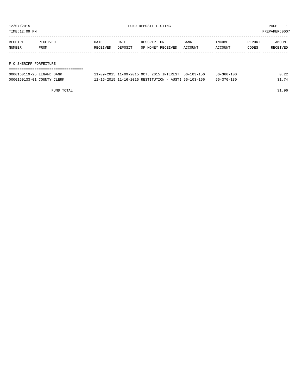TIME:12:09 PM PREPARER:0007

| RECEIPT | RECEIVED | DATE     | DATE    | DESCRIPTION       | <b>BANK</b> | <b>INCOME</b> | REPORT | AMOUNT          |
|---------|----------|----------|---------|-------------------|-------------|---------------|--------|-----------------|
| NUMBER  | FROM     | RECEIVED | DEPOSIT | OF MONEY RECEIVED | ACCOUNT     | ACCOUNT       | CODES  | <b>RECEIVED</b> |
|         |          |          |         |                   |             |               |        |                 |

#### F C SHERIFF FORFEITURE

| 0000160119-25 LEGAND BANK  | 11-09-2015 11-09-2015 OCT, 2015 INTEREST, 56-103-156 | $56 - 360 - 100$ | 0.22  |
|----------------------------|------------------------------------------------------|------------------|-------|
| 0000160133-01 COUNTY CLERK | 11-16-2015 11-16-2015 RESTITUTION - AUSTI 56-103-156 | 56-370-130       | 31.74 |

FUND TOTAL 31.96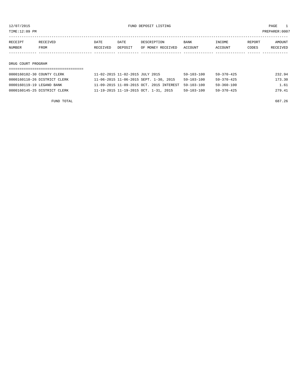TIME:12:09 PM PREPARER:0007

| RECEIPT | RECEIVED | DATE     | DATE    | DESCRIPTION       | <b>BANK</b> | INCOME  | REPORT | AMOUNT          |
|---------|----------|----------|---------|-------------------|-------------|---------|--------|-----------------|
| NUMBER  | FROM     | RECEIVED | DEPOSIT | OF MONEY RECEIVED | ACCOUNT     | ACCOUNT | CODES  | <b>RECEIVED</b> |
|         |          |          |         |                   |             |         |        |                 |

#### DRUG COURT PROGRAM

| 0000160102-30 COUNTY CLERK   | 11-02-2015 11-02-2015 JULY 2015                     | $59 - 103 - 100$ | 59-370-425       | 232.94 |
|------------------------------|-----------------------------------------------------|------------------|------------------|--------|
| 0000160110-26 DISTRICT CLERK | 11-06-2015 11-06-2015 SEPT. 1-30, 2015              | $59 - 103 - 100$ | $59 - 370 - 425$ | 173.30 |
| 0000160119-19 LEGAND BANK    | 11-09-2015 11-09-2015 OCT. 2015 INTEREST 59-103-100 |                  | 59-360-100       | 1.61   |
| 0000160145-25 DISTRICT CLERK | 11-19-2015 11-19-2015 OCT. 1-31, 2015               | 59-103-100       | 59-370-425       | 279.41 |

FUND TOTAL 687.26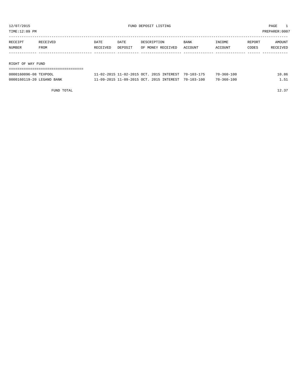TIME:12:09 PM PREPARER:0007

| RECEIPT | RECEIVED          | DATE     | DATE    | DESCRIPTION       | <b>BANK</b> | INCOME  | REPORT | AMOUNT   |  |
|---------|-------------------|----------|---------|-------------------|-------------|---------|--------|----------|--|
| NUMBER  | FROM              | RECEIVED | DEPOSIT | OF MONEY RECEIVED | ACCOUNT     | ACCOUNT | CODES  | RECEIVED |  |
|         |                   |          |         |                   |             |         |        |          |  |
|         |                   |          |         |                   |             |         |        |          |  |
|         | RIGHT OF WAY FUND |          |         |                   |             |         |        |          |  |
|         |                   |          |         |                   |             |         |        |          |  |

| 0000160096-08 TEXPOOL     | 11-02-2015 11-02-2015 OCT, 2015 INTEREST 70-103-175 | $70 - 360 - 100$ | 0.86 |
|---------------------------|-----------------------------------------------------|------------------|------|
| 0000160119-20 LEGAND BANK | 11-09-2015 11-09-2015 OCT, 2015 INTEREST 70-103-100 | $70 - 360 - 100$ | 51   |

FUND TOTAL  $12.37$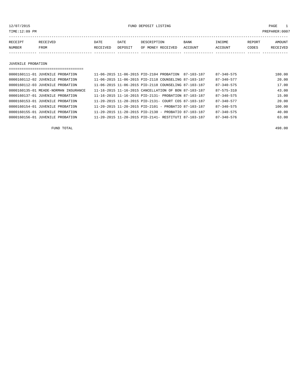12/07/2015 FUND DEPOSIT LISTING PAGE 1

| RECEIPT | <b>RECEIVED</b> | DATE            | DATE    | DESCRIPTION       | <b>BANK</b> | INCOME  | REPORT | AMOUNT          |
|---------|-----------------|-----------------|---------|-------------------|-------------|---------|--------|-----------------|
| NUMBER  | FROM            | <b>RECEIVED</b> | DEPOSIT | OF MONEY RECEIVED | ACCOUNT     | ACCOUNT | CODES  | <b>RECEIVED</b> |
|         |                 |                 |         |                   |             |         |        |                 |

#### JUVENILE PROBATION

| ___________________________________  |                                                        |                  |        |
|--------------------------------------|--------------------------------------------------------|------------------|--------|
| 0000160111-01 JUVENILE PROBATION     | 11-06-2015 11-06-2015 PTD-2104 PROBATION<br>87-103-187 | $87 - 340 - 575$ | 180.00 |
| 0000160112-02 JUVENILE PROBATION     | 11-06-2015 11-06-2015 PID-2118 COUNSELING 87-103-187   | $87 - 340 - 577$ | 20.00  |
| 0000160112-03 JUVENILE PROBATION     | 11-06-2015 11-06-2015 PID-2118 COUNSELING 87-103-187   | $87 - 340 - 575$ | 17.00  |
| 0000160135-01 MEADE-NORMAN INSURANCE | 11-16-2015 11-16-2015 CANCELLATION OF BON 87-103-187   | $87 - 575 - 310$ | 43.00  |
| 0000160137-01 JUVENILE PROBATION     | 11-16-2015 11-16-2015 PID-2131- PROBATION 87-103-187   | $87 - 340 - 575$ | 15.00  |
| 0000160153-01 JUVENILE PROBATION     | 11-20-2015 11-20-2015 PID-2131- COURT COS 87-103-187   | $87 - 340 - 577$ | 20.00  |
| 0000160154-01 JUVENILE PROBATION     | 11-20-2015 11-20-2015 PID-2101 - PROBATIO 87-103-187   | $87 - 340 - 575$ | 100.00 |
| 0000160155-01 JUVENILE PROBATION     | 11-20-2015 11-20-2015 PID-2130 - PROBATIO 87-103-187   | $87 - 340 - 575$ | 40.00  |
| 0000160156-01 JUVENILE PROBATION     | 11-20-2015 11-20-2015 PID-2141- RESTITUTI 87-103-187   | $87 - 340 - 576$ | 63.00  |

FUND TOTAL 498.00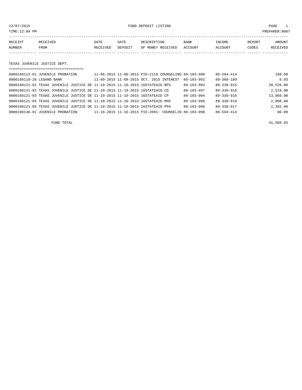#### 12/07/2015 FUND DEPOSIT LISTING PAGE 1

| RECEIPT | RECEIVED | DATE     | DATE    | DESCRIPTION       | <b>BANK</b> | INCOME  | REPORT | AMOUNT          |
|---------|----------|----------|---------|-------------------|-------------|---------|--------|-----------------|
| NUMBER  | FROM     | RECEIVED | DEPOSIT | OF MONEY RECEIVED | ACCOUNT     | ACCOUNT | CODES  | <b>RECEIVED</b> |
|         |          |          |         |                   |             |         |        |                 |

TEXAS JUVENILE JUSTICE DEPT.

| ===================================                                          |                                                      |                  |                  |           |
|------------------------------------------------------------------------------|------------------------------------------------------|------------------|------------------|-----------|
| 0000160112-01 JUVENILE PROBATION                                             | 11-06-2015 11-06-2015 PID-2118 COUNSELING 89-103-998 |                  | 89-594-414       | 188.00    |
| 0000160119-26 LEGAND BANK                                                    | 11-09-2015 11-09-2015 OCT. 2015 INTEREST             | $89 - 103 - 992$ | $89 - 360 - 189$ | 0.93      |
| 0000160121-01 TEXAS JUVENILE JUSTICE DE 11-10-2015 11-10-2015 16STATEAID BPS |                                                      | $89 - 103 - 993$ | $89 - 330 - 915$ | 20,526.00 |
| 0000160121-02 TEXAS JUVENILE JUSTICE DE 11-10-2015 11-10-2015 16STATEAID CD  |                                                      | $89 - 103 - 997$ | $89 - 330 - 918$ | 2,519.00  |
| 0000160121-03 TEXAS JUVENILE JUSTICE DE 11-10-2015 11-10-2015 16STATEAID CP  |                                                      | $89 - 103 - 994$ | $89 - 330 - 916$ | 13,066.00 |
| 0000160121-04 TEXAS JUVENILE JUSTICE DE 11-10-2015 11-10-2015 16STATEAID MHS |                                                      | $89 - 103 - 998$ | $89 - 330 - 919$ | 2,808.00  |
| 0000160121-05 TEXAS JUVENILE JUSTICE DE 11-10-2015 11-10-2015 16STATEAID PPA |                                                      | $89 - 103 - 996$ | $89 - 330 - 917$ | 2,392.00  |
| 0000160136-01 JUVENILE PROBATION                                             | 11-16-2015 11-16-2015 PID-2091- COUNSELIN 89-103-998 |                  | 89-594-414       | 90.00     |

FUND TOTAL 41,589.93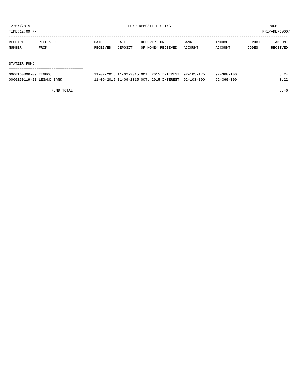TIME:12:09 PM PREPARER:0007

| RECEIPT | RECEIVED | DATE     | DATE    | DESCRIPTION       | BANK    | INCOME  | REPORT | AMOUNT   |
|---------|----------|----------|---------|-------------------|---------|---------|--------|----------|
| NUMBER  | FROM     | RECEIVED | DEPOSIT | OF MONEY RECEIVED | ACCOUNT | ACCOUNT | CODES  | RECEIVED |
|         |          |          |         |                   |         |         |        |          |
|         |          |          |         |                   |         |         |        |          |

#### STATZER FUND

| -----------------------   |                                                     |  |                  |      |
|---------------------------|-----------------------------------------------------|--|------------------|------|
| 0000160096-09 TEXPOOL     | 11-02-2015 11-02-2015 OCT. 2015 INTEREST 92-103-175 |  | $92 - 360 - 100$ | 3.24 |
| 0000160119-21 LEGAND BANK | 11-09-2015 11-09-2015 OCT. 2015 INTEREST 92-103-100 |  | $92 - 360 - 100$ | 0.22 |

FUND TOTAL 3.46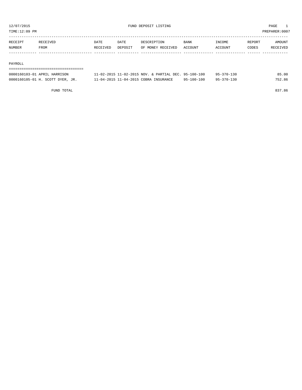TIME:12:09 PM PREPARER:0007

| RECEIPT | RECEIVED | DATE     | DATE    | DESCRIPTION       | <b>BANK</b> | INCOME  | REPORT | AMOUNT   |
|---------|----------|----------|---------|-------------------|-------------|---------|--------|----------|
| NUMBER  | FROM     | RECEIVED | DEPOSIT | OF MONEY RECEIVED | ACCOUNT     | ACCOUNT | CODES  | RECEIVED |
|         |          |          |         |                   |             |         |        |          |

#### PAYROLL

| ------------------------------------<br>------------------------------- |                                                      |            |            |        |
|-------------------------------------------------------------------------|------------------------------------------------------|------------|------------|--------|
| 0000160103-01 APRIL HARRISON                                            | 11-02-2015 11-02-2015 NOV. & PARTIAL DEC. 95-100-100 |            | 95-370-130 | 85.00  |
| 0000160105-01 H. SCOTT DYER, JR.                                        | 11-04-2015 11-04-2015 COBRA INSURANCE                | 95-100-100 | 95-370-130 | 752.86 |

FUND TOTAL 837.86